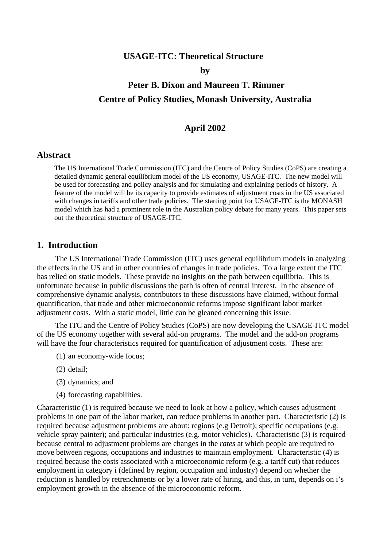## **USAGE-ITC: Theoretical Structure**

**by** 

# **Peter B. Dixon and Maureen T. Rimmer Centre of Policy Studies, Monash University, Australia**

## **April 2002**

## **Abstract**

The US International Trade Commission (ITC) and the Centre of Policy Studies (CoPS) are creating a detailed dynamic general equilibrium model of the US economy, USAGE-ITC. The new model will be used for forecasting and policy analysis and for simulating and explaining periods of history. A feature of the model will be its capacity to provide estimates of adjustment costs in the US associated with changes in tariffs and other trade policies. The starting point for USAGE-ITC is the MONASH model which has had a prominent role in the Australian policy debate for many years. This paper sets out the theoretical structure of USAGE-ITC.

## **1. Introduction**

The US International Trade Commission (ITC) uses general equilibrium models in analyzing the effects in the US and in other countries of changes in trade policies. To a large extent the ITC has relied on static models. These provide no insights on the path between equilibria. This is unfortunate because in public discussions the path is often of central interest. In the absence of comprehensive dynamic analysis, contributors to these discussions have claimed, without formal quantification, that trade and other microeconomic reforms impose significant labor market adjustment costs. With a static model, little can be gleaned concerning this issue.

The ITC and the Centre of Policy Studies (CoPS) are now developing the USAGE-ITC model of the US economy together with several add-on programs. The model and the add-on programs will have the four characteristics required for quantification of adjustment costs. These are:

- (1) an economy-wide focus;
- (2) detail;
- (3) dynamics; and
- (4) forecasting capabilities.

Characteristic (1) is required because we need to look at how a policy, which causes adjustment problems in one part of the labor market, can reduce problems in another part. Characteristic (2) is required because adjustment problems are about: regions (e.g Detroit); specific occupations (e.g. vehicle spray painter); and particular industries (e.g. motor vehicles). Characteristic (3) is required because central to adjustment problems are changes in the *rates* at which people are required to move between regions, occupations and industries to maintain employment. Characteristic (4) is required because the costs associated with a microeconomic reform (e.g. a tariff cut) that reduces employment in category i (defined by region, occupation and industry) depend on whether the reduction is handled by retrenchments or by a lower rate of hiring, and this, in turn, depends on i's employment growth in the absence of the microeconomic reform.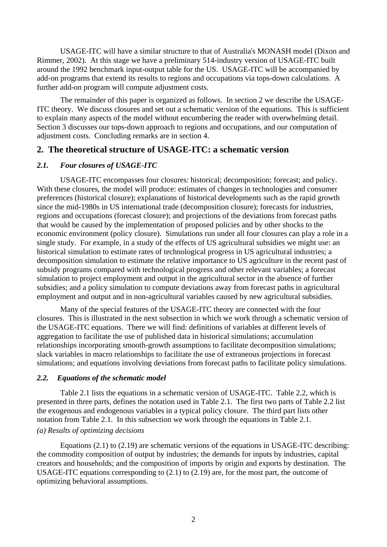USAGE-ITC will have a similar structure to that of Australia's MONASH model (Dixon and Rimmer, 2002). At this stage we have a preliminary 514-industry version of USAGE-ITC built around the 1992 benchmark input-output table for the US. USAGE-ITC will be accompanied by add-on programs that extend its results to regions and occupations via tops-down calculations. A further add-on program will compute adjustment costs.

The remainder of this paper is organized as follows. In section 2 we describe the USAGE-ITC theory. We discuss closures and set out a schematic version of the equations. This is sufficient to explain many aspects of the model without encumbering the reader with overwhelming detail. Section 3 discusses our tops-down approach to regions and occupations, and our computation of adjustment costs. Concluding remarks are in section 4.

## **2. The theoretical structure of USAGE-ITC: a schematic version**

#### *2.1. Four closures of USAGE-ITC*

USAGE-ITC encompasses four closures: historical; decomposition; forecast; and policy. With these closures, the model will produce: estimates of changes in technologies and consumer preferences (historical closure); explanations of historical developments such as the rapid growth since the mid-1980s in US international trade (decomposition closure); forecasts for industries, regions and occupations (forecast closure); and projections of the deviations from forecast paths that would be caused by the implementation of proposed policies and by other shocks to the economic environment (policy closure). Simulations run under all four closures can play a role in a single study. For example, in a study of the effects of US agricultural subsidies we might use: an historical simulation to estimate rates of technological progress in US agricultural industries; a decomposition simulation to estimate the relative importance to US agriculture in the recent past of subsidy programs compared with technological progress and other relevant variables; a forecast simulation to project employment and output in the agricultural sector in the absence of further subsidies; and a policy simulation to compute deviations away from forecast paths in agricultural employment and output and in non-agricultural variables caused by new agricultural subsidies.

Many of the special features of the USAGE-ITC theory are connected with the four closures. This is illustrated in the next subsection in which we work through a schematic version of the USAGE-ITC equations. There we will find: definitions of variables at different levels of aggregation to facilitate the use of published data in historical simulations; accumulation relationships incorporating smooth-growth assumptions to facilitate decomposition simulations; slack variables in macro relationships to facilitate the use of extraneous projections in forecast simulations; and equations involving deviations from forecast paths to facilitate policy simulations.

#### *2.2. Equations of the schematic model*

 Table 2.1 lists the equations in a schematic version of USAGE-ITC. Table 2.2, which is presented in three parts, defines the notation used in Table 2.1. The first two parts of Table 2.2 list the exogenous and endogenous variables in a typical policy closure. The third part lists other notation from Table 2.1. In this subsection we work through the equations in Table 2.1. *(a) Results of optimizing decisions* 

Equations (2.1) to (2.19) are schematic versions of the equations in USAGE-ITC describing: the commodity composition of output by industries; the demands for inputs by industries, capital creators and households; and the composition of imports by origin and exports by destination. The USAGE-ITC equations corresponding to (2.1) to (2.19) are, for the most part, the outcome of optimizing behavioral assumptions.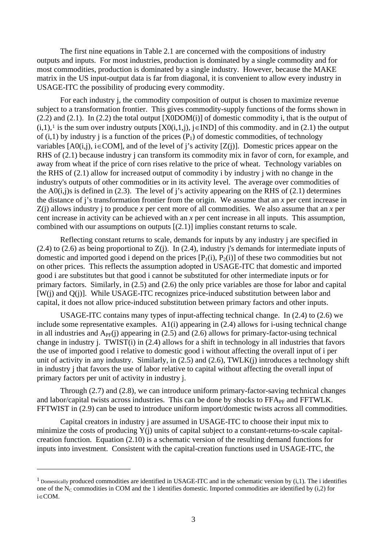The first nine equations in Table 2.1 are concerned with the compositions of industry outputs and inputs. For most industries, production is dominated by a single commodity and for most commodities, production is dominated by a single industry. However, because the MAKE matrix in the US input-output data is far from diagonal, it is convenient to allow every industry in USAGE-ITC the possibility of producing every commodity.

For each industry j, the commodity composition of output is chosen to maximize revenue subject to a transformation frontier. This gives commodity-supply functions of the forms shown in  $(2.2)$  and  $(2.1)$ . In  $(2.2)$  the total output [X0DOM(i)] of domestic commodity i, that is the output of  $(i,1)$  $(i,1)$  $(i,1)$ ,<sup>1</sup> is the sum over industry outputs  $[X0(i,1,i)]$ ,  $i \in IND$  of this commodity, and in (2.1) the output of  $(i,1)$  by industry j is a function of the prices  $(P_1)$  of domestic commodities, of technology variables  $[A0(i,j), i \in COM]$ , and of the level of j's activity  $[Z(i)]$ . Domestic prices appear on the RHS of  $(2.1)$  because industry j can transform its commodity mix in favor of corn, for example, and away from wheat if the price of corn rises relative to the price of wheat. Technology variables on the RHS of (2.1) allow for increased output of commodity i by industry j with no change in the industry's outputs of other commodities or in its activity level. The average over commodities of the A0(i,j)s is defined in (2.3). The level of j's activity appearing on the RHS of (2.1) determines the distance of j's transformation frontier from the origin. We assume that an *x* per cent increase in Z(j) allows industry j to produce *x* per cent more of all commodities. We also assume that an *x* per cent increase in activity can be achieved with an *x* per cent increase in all inputs. This assumption, combined with our assumptions on outputs [(2.1)] implies constant returns to scale.

Reflecting constant returns to scale, demands for inputs by any industry j are specified in (2.4) to (2.6) as being proportional to Z(j). In (2.4), industry j's demands for intermediate inputs of domestic and imported good i depend on the prices  $[P_1(i), P_2(i)]$  of these two commodities but not on other prices. This reflects the assumption adopted in USAGE-ITC that domestic and imported good i are substitutes but that good i cannot be substituted for other intermediate inputs or for primary factors. Similarly, in (2.5) and (2.6) the only price variables are those for labor and capital [W(j) and Q(j)]. While USAGE-ITC recognizes price-induced substitution between labor and capital, it does not allow price-induced substitution between primary factors and other inputs.

 USAGE-ITC contains many types of input-affecting technical change. In (2.4) to (2.6) we include some representative examples. A1(i) appearing in (2.4) allows for i-using technical change in all industries and  $A_{PF}(i)$  appearing in (2.5) and (2.6) allows for primary-factor-using technical change in industry j. TWIST(i) in (2.4) allows for a shift in technology in all industries that favors the use of imported good i relative to domestic good i without affecting the overall input of i per unit of activity in any industry. Similarly, in (2.5) and (2.6), TWLK(j) introduces a technology shift in industry j that favors the use of labor relative to capital without affecting the overall input of primary factors per unit of activity in industry j.

Through (2.7) and (2.8), we can introduce uniform primary-factor-saving technical changes and labor/capital twists across industries. This can be done by shocks to FFA<sub>PF</sub> and FFTWLK. FFTWIST in (2.9) can be used to introduce uniform import/domestic twists across all commodities.

 Capital creators in industry j are assumed in USAGE-ITC to choose their input mix to minimize the costs of producing Y(j) units of capital subject to a constant-returns-to-scale capitalcreation function. Equation (2.10) is a schematic version of the resulting demand functions for inputs into investment. Consistent with the capital-creation functions used in USAGE-ITC, the

 $\overline{a}$ 

<span id="page-2-0"></span><sup>&</sup>lt;sup>1</sup> Domestically produced commodities are identified in USAGE-ITC and in the schematic version by  $(i,1)$ . The i identifies one of the  $N_c$  commodities in COM and the 1 identifies domestic. Imported commodities are identified by (i,2) for i∈COM.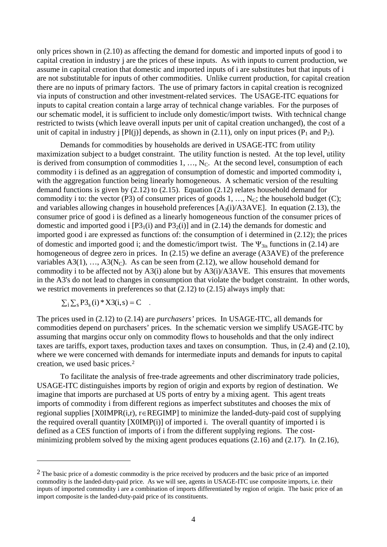only prices shown in (2.10) as affecting the demand for domestic and imported inputs of good i to capital creation in industry j are the prices of these inputs. As with inputs to current production, we assume in capital creation that domestic and imported inputs of i are substitutes but that inputs of i are not substitutable for inputs of other commodities. Unlike current production, for capital creation there are no inputs of primary factors. The use of primary factors in capital creation is recognized via inputs of construction and other investment-related services. The USAGE-ITC equations for inputs to capital creation contain a large array of technical change variables. For the purposes of our schematic model, it is sufficient to include only domestic/import twists. With technical change restricted to twists (which leave overall inputs per unit of capital creation unchanged), the cost of a unit of capital in industry i [PI(j)] depends, as shown in (2.11), only on input prices (P<sub>1</sub> and P<sub>2</sub>).

 Demands for commodities by households are derived in USAGE-ITC from utility maximization subject to a budget constraint. The utility function is nested. At the top level, utility is derived from consumption of commodities  $1, \ldots, N_C$ . At the second level, consumption of each commodity i is defined as an aggregation of consumption of domestic and imported commodity i, with the aggregation function being linearly homogeneous. A schematic version of the resulting demand functions is given by (2.12) to (2.15). Equation (2.12) relates household demand for commodity i to: the vector (P3) of consumer prices of goods 1, ...,  $N_c$ ; the household budget (C); and variables allowing changes in household preferences  $[A_3(i)/A3AVE]$ . In equation (2.13), the consumer price of good i is defined as a linearly homogeneous function of the consumer prices of domestic and imported good i  $[P3_1(i)$  and  $P3_2(i)]$  and in (2.14) the demands for domestic and imported good i are expressed as functions of: the consumption of i determined in (2.12); the prices of domestic and imported good i; and the domestic/import twist. The  $\Psi_{3is}$  functions in (2.14) are homogeneous of degree zero in prices. In (2.15) we define an average (A3AVE) of the preference variables  $A3(1), \ldots, A3(N<sub>C</sub>)$ . As can be seen from (2.12), we allow household demand for commodity i to be affected not by A3(i) alone but by A3(i)/A3AVE. This ensures that movements in the A3's do not lead to changes in consumption that violate the budget constraint. In other words, we restrict movements in preferences so that (2.12) to (2.15) always imply that:

$$
\sum_i \sum_s P3_s(i) * X3(i,s) = C .
$$

 $\overline{a}$ 

The prices used in (2.12) to (2.14) are *purchasers'* prices. In USAGE-ITC, all demands for commodities depend on purchasers' prices. In the schematic version we simplify USAGE-ITC by assuming that margins occur only on commodity flows to households and that the only indirect taxes are tariffs, export taxes, production taxes and taxes on consumption. Thus, in (2.4) and (2.10), where we were concerned with demands for intermediate inputs and demands for inputs to capital creation, we used basic prices.[2](#page-3-0)

 To facilitate the analysis of free-trade agreements and other discriminatory trade policies, USAGE-ITC distinguishes imports by region of origin and exports by region of destination. We imagine that imports are purchased at US ports of entry by a mixing agent. This agent treats imports of commodity i from different regions as imperfect substitutes and chooses the mix of regional supplies [X0IMPR(i,r), r∈REGIMP] to minimize the landed-duty-paid cost of supplying the required overall quantity [X0IMP(i)] of imported i. The overall quantity of imported i is defined as a CES function of imports of i from the different supplying regions. The costminimizing problem solved by the mixing agent produces equations (2.16) and (2.17). In (2.16),

<span id="page-3-0"></span><sup>&</sup>lt;sup>2</sup> The basic price of a domestic commodity is the price received by producers and the basic price of an imported commodity is the landed-duty-paid price. As we will see, agents in USAGE-ITC use composite imports, i.e. their inputs of imported commodity i are a combination of imports differentiated by region of origin. The basic price of an import composite is the landed-duty-paid price of its constituents.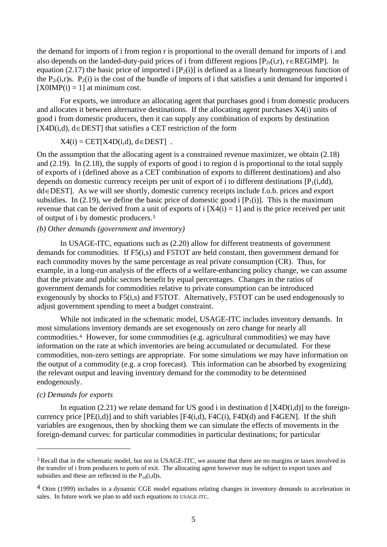the demand for imports of i from region r is proportional to the overall demand for imports of i and also depends on the landed-duty-paid prices of i from different regions  $[P_{2r}(i,r), r \in REGIMP]$ . In equation (2.17) the basic price of imported i  $[P_2(i)]$  is defined as a linearly homogeneous function of the  $P_{2r}(i,r)s$ .  $P_2(i)$  is the cost of the bundle of imports of i that satisfies a unit demand for imported i  $[XOIMP(i) = 1]$  at minimum cost.

For exports, we introduce an allocating agent that purchases good i from domestic producers and allocates it between alternative destinations. If the allocating agent purchases X4(i) units of good i from domestic producers, then it can supply any combination of exports by destination [X4D(i,d), d∈DEST] that satisfies a CET restriction of the form

 $X4(i) = CET[X4D(i,d), d \in DEST]$ .

On the assumption that the allocating agent is a constrained revenue maximizer, we obtain (2.18) and (2.19). In (2.18), the supply of exports of good i to region d is proportional to the total supply of exports of i (defined above as a CET combination of exports to different destinations) and also depends on domestic currency receipts per unit of export of i to different destinations  $[P_1(i,dd)]$ , dd∈DEST]. As we will see shortly, domestic currency receipts include f.o.b. prices and export subsidies. In (2.19), we define the basic price of domestic good i  $[P_1(i)]$ . This is the maximum revenue that can be derived from a unit of exports of  $i$  [X4(i) = 1] and is the price received per unit of output of i by domestic producers.[3](#page-4-0)

#### *(b) Other demands (government and inventory)*

In USAGE-ITC, equations such as (2.20) allow for different treatments of government demands for commodities. If F5(i,s) and F5TOT are held constant, then government demand for each commodity moves by the same percentage as real private consumption (CR). Thus, for example, in a long-run analysis of the effects of a welfare-enhancing policy change, we can assume that the private and public sectors benefit by equal percentages. Changes in the ratios of government demands for commodities relative to private consumption can be introduced exogenously by shocks to F5(i,s) and F5TOT. Alternatively, F5TOT can be used endogenously to adjust government spending to meet a budget constraint.

 While not indicated in the schematic model, USAGE-ITC includes inventory demands. In most simulations inventory demands are set exogenously on zero change for nearly all commodities.[4](#page-4-1) However, for some commodities (e.g. agricultural commodities) we may have information on the rate at which inventories are being accumulated or decumulated. For these commodities, non-zero settings are appropriate. For some simulations we may have information on the output of a commodity (e.g. a crop forecast). This information can be absorbed by exogenizing the relevant output and leaving inventory demand for the commodity to be determined endogenously.

#### *(c) Demands for exports*

 $\overline{a}$ 

In equation (2.21) we relate demand for US good i in destination d  $[X4D(i,d)]$  to the foreigncurrency price [PE(i,d)] and to shift variables [F4(i,d), F4C(i), F4D(d) and F4GEN]. If the shift variables are exogenous, then by shocking them we can simulate the effects of movements in the foreign-demand curves: for particular commodities in particular destinations; for particular

<span id="page-4-0"></span><sup>&</sup>lt;sup>3</sup> Recall that in the schematic model, but not in USAGE-ITC, we assume that there are no margins or taxes involved in the transfer of i from producers to ports of exit. The allocating agent however may be subject to export taxes and subsidies and these are reflected in the  $P_{1d}(i,d)$ s.

<span id="page-4-1"></span><sup>4</sup> Otim (1999) includes in a dynamic CGE model equations relating changes in inventory demands to acceleration in sales. In future work we plan to add such equations to USAGE-ITC.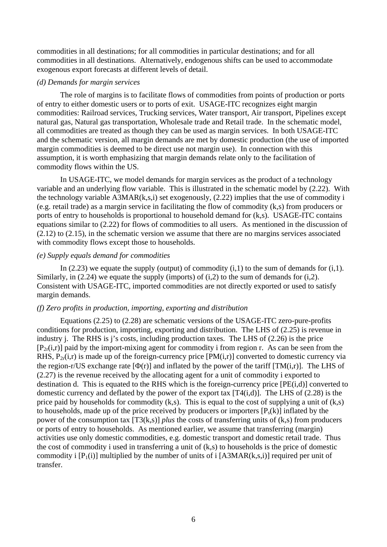commodities in all destinations; for all commodities in particular destinations; and for all commodities in all destinations. Alternatively, endogenous shifts can be used to accommodate exogenous export forecasts at different levels of detail.

#### *(d) Demands for margin services*

The role of margins is to facilitate flows of commodities from points of production or ports of entry to either domestic users or to ports of exit. USAGE-ITC recognizes eight margin commodities: Railroad services, Trucking services, Water transport, Air transport, Pipelines except natural gas, Natural gas transportation, Wholesale trade and Retail trade. In the schematic model, all commodities are treated as though they can be used as margin services. In both USAGE-ITC and the schematic version, all margin demands are met by domestic production (the use of imported margin commodities is deemed to be direct use not margin use). In connection with this assumption, it is worth emphasizing that margin demands relate only to the facilitation of commodity flows within the US.

 In USAGE-ITC, we model demands for margin services as the product of a technology variable and an underlying flow variable. This is illustrated in the schematic model by (2.22). With the technology variable A3MAR(k,s,i) set exogenously, (2.22) implies that the use of commodity i (e.g. retail trade) as a margin service in facilitating the flow of commodity (k,s) from producers or ports of entry to households is proportional to household demand for (k,s). USAGE-ITC contains equations similar to (2.22) for flows of commodities to all users. As mentioned in the discussion of (2.12) to (2.15), in the schematic version we assume that there are no margins services associated with commodity flows except those to households.

#### *(e) Supply equals demand for commodities*

In (2.23) we equate the supply (output) of commodity  $(i,1)$  to the sum of demands for  $(i,1)$ . Similarly, in  $(2.24)$  we equate the supply (imports) of  $(i,2)$  to the sum of demands for  $(i,2)$ . Consistent with USAGE-ITC, imported commodities are not directly exported or used to satisfy margin demands.

#### *(f) Zero profits in production, importing, exporting and distribution*

Equations (2.25) to (2.28) are schematic versions of the USAGE-ITC zero-pure-profits conditions for production, importing, exporting and distribution. The LHS of (2.25) is revenue in industry j. The RHS is j's costs, including production taxes. The LHS of (2.26) is the price  $[P_{2r}(i,r)]$  paid by the import-mixing agent for commodity i from region r. As can be seen from the RHS,  $P_{2r}(i,r)$  is made up of the foreign-currency price [PM(i,r)] converted to domestic currency via the region-r/US exchange rate  $[\Phi(r)]$  and inflated by the power of the tariff  $[TM(i,r)]$ . The LHS of (2.27) is the revenue received by the allocating agent for a unit of commodity i exported to destination d. This is equated to the RHS which is the foreign-currency price [PE(i,d)] converted to domestic currency and deflated by the power of the export tax  $[T4(i,d)]$ . The LHS of (2.28) is the price paid by households for commodity  $(k, s)$ . This is equal to the cost of supplying a unit of  $(k, s)$ to households, made up of the price received by producers or importers  $[P_s(k)]$  inflated by the power of the consumption tax [T3(k,s)] *plus* the costs of transferring units of (k,s) from producers or ports of entry to households. As mentioned earlier, we assume that transferring (margin) activities use only domestic commodities, e.g. domestic transport and domestic retail trade. Thus the cost of commodity i used in transferring a unit of (k,s) to households is the price of domestic commodity i  $[P_1(i)]$  multiplied by the number of units of i  $[A3MAR(k,s,i)]$  required per unit of transfer.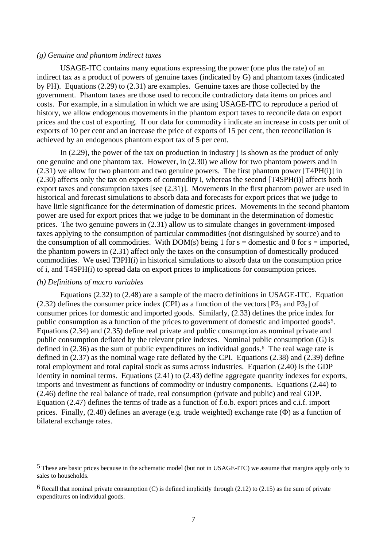#### *(g) Genuine and phantom indirect taxes*

USAGE-ITC contains many equations expressing the power (one plus the rate) of an indirect tax as a product of powers of genuine taxes (indicated by G) and phantom taxes (indicated by PH). Equations (2.29) to (2.31) are examples. Genuine taxes are those collected by the government. Phantom taxes are those used to reconcile contradictory data items on prices and costs. For example, in a simulation in which we are using USAGE-ITC to reproduce a period of history, we allow endogenous movements in the phantom export taxes to reconcile data on export prices and the cost of exporting. If our data for commodity i indicate an increase in costs per unit of exports of 10 per cent and an increase the price of exports of 15 per cent, then reconciliation is achieved by an endogenous phantom export tax of 5 per cent.

In  $(2.29)$ , the power of the tax on production in industry i is shown as the product of only one genuine and one phantom tax. However, in (2.30) we allow for two phantom powers and in (2.31) we allow for two phantom and two genuine powers. The first phantom power [T4PH(i)] in (2.30) affects only the tax on exports of commodity i, whereas the second [T4SPH(i)] affects both export taxes and consumption taxes [see (2.31)]. Movements in the first phantom power are used in historical and forecast simulations to absorb data and forecasts for export prices that we judge to have little significance for the determination of domestic prices. Movements in the second phantom power are used for export prices that we judge to be dominant in the determination of domestic prices. The two genuine powers in (2.31) allow us to simulate changes in government-imposed taxes applying to the consumption of particular commodities (not distinguished by source) and to the consumption of all commodities. With DOM(s) being 1 for  $s =$  domestic and 0 for  $s =$  imported, the phantom powers in (2.31) affect only the taxes on the consumption of domestically produced commodities. We used T3PH(i) in historical simulations to absorb data on the consumption price of i, and T4SPH(i) to spread data on export prices to implications for consumption prices.

#### *(h) Definitions of macro variables*

 $\overline{a}$ 

Equations (2.32) to (2.48) are a sample of the macro definitions in USAGE-ITC. Equation (2.32) defines the consumer price index (CPI) as a function of the vectors  $[P_3]$  and P3<sub>2</sub>] of consumer prices for domestic and imported goods. Similarly, (2.33) defines the price index for public consumption as a function of the prices to government of domestic and imported goods<sup>[5](#page-6-0)</sup>. Equations (2.34) and (2.35) define real private and public consumption as nominal private and public consumption deflated by the relevant price indexes. Nominal public consumption (G) is defined in  $(2.36)$  $(2.36)$  $(2.36)$  as the sum of public expenditures on individual goods.<sup>6</sup> The real wage rate is defined in (2.37) as the nominal wage rate deflated by the CPI. Equations (2.38) and (2.39) define total employment and total capital stock as sums across industries. Equation (2.40) is the GDP identity in nominal terms. Equations (2.41) to (2.43) define aggregate quantity indexes for exports, imports and investment as functions of commodity or industry components. Equations (2.44) to (2.46) define the real balance of trade, real consumption (private and public) and real GDP. Equation (2.47) defines the terms of trade as a function of f.o.b. export prices and c.i.f. import prices. Finally, (2.48) defines an average (e.g. trade weighted) exchange rate (Φ) as a function of bilateral exchange rates.

<span id="page-6-0"></span><sup>5</sup> These are basic prices because in the schematic model (but not in USAGE-ITC) we assume that margins apply only to sales to households.

<span id="page-6-1"></span> $6$  Recall that nominal private consumption (C) is defined implicitly through (2.12) to (2.15) as the sum of private expenditures on individual goods.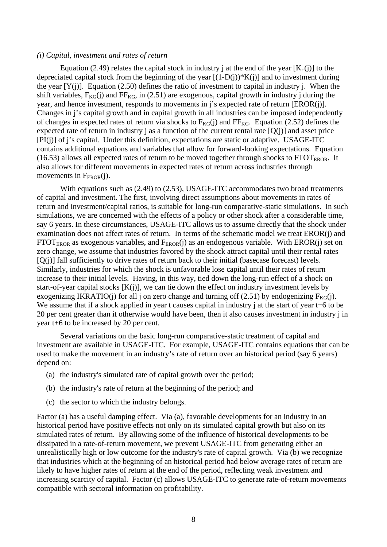#### *(i) Capital, investment and rates of return*

Equation (2.49) relates the capital stock in industry j at the end of the year  $[K_{+}(i)]$  to the depreciated capital stock from the beginning of the year  $[(1-D(i))^*K(i)]$  and to investment during the year  $[Y(i)]$ . Equation (2.50) defines the ratio of investment to capital in industry j. When the shift variables,  $F_{KG}(i)$  and  $FF_{KG}$ , in (2.51) are exogenous, capital growth in industry j during the year, and hence investment, responds to movements in j's expected rate of return [EROR(j)]. Changes in j's capital growth and in capital growth in all industries can be imposed independently of changes in expected rates of return via shocks to  $F_{KG}(i)$  and  $FF_{KG}$ . Equation (2.52) defines the expected rate of return in industry j as a function of the current rental rate  $[Q(i)]$  and asset price [PI(j)] of j's capital. Under this definition, expectations are static or adaptive. USAGE-ITC contains additional equations and variables that allow for forward-looking expectations. Equation (16.53) allows all expected rates of return to be moved together through shocks to  $\text{FTOT}_{\text{EROR}}$ . It also allows for different movements in expected rates of return across industries through movements in  $F_{EROR}(i)$ .

With equations such as (2.49) to (2.53), USAGE-ITC accommodates two broad treatments of capital and investment. The first, involving direct assumptions about movements in rates of return and investment/capital ratios, is suitable for long-run comparative-static simulations. In such simulations, we are concerned with the effects of a policy or other shock after a considerable time, say 6 years. In these circumstances, USAGE-ITC allows us to assume directly that the shock under examination does not affect rates of return. In terms of the schematic model we treat EROR(j) and FTOT<sub>EROR</sub> as exogenous variables, and  $F_{EROR}(i)$  as an endogenous variable. With EROR(i) set on zero change, we assume that industries favored by the shock attract capital until their rental rates [O(i)] fall sufficiently to drive rates of return back to their initial (basecase forecast) levels. Similarly, industries for which the shock is unfavorable lose capital until their rates of return increase to their initial levels. Having, in this way, tied down the long-run effect of a shock on start-of-year capital stocks [K(j)], we can tie down the effect on industry investment levels by exogenizing IKRATIO(j) for all j on zero change and turning off (2.51) by endogenizing  $F_{KG}(i)$ . We assume that if a shock applied in year t causes capital in industry j at the start of year t+6 to be 20 per cent greater than it otherwise would have been, then it also causes investment in industry j in year t+6 to be increased by 20 per cent.

 Several variations on the basic long-run comparative-static treatment of capital and investment are available in USAGE-ITC. For example, USAGE-ITC contains equations that can be used to make the movement in an industry's rate of return over an historical period (say 6 years) depend on:

- (a) the industry's simulated rate of capital growth over the period;
- (b) the industry's rate of return at the beginning of the period; and
- (c) the sector to which the industry belongs.

Factor (a) has a useful damping effect. Via (a), favorable developments for an industry in an historical period have positive effects not only on its simulated capital growth but also on its simulated rates of return. By allowing some of the influence of historical developments to be dissipated in a rate-of-return movement, we prevent USAGE-ITC from generating either an unrealistically high or low outcome for the industry's rate of capital growth. Via (b) we recognize that industries which at the beginning of an historical period had below average rates of return are likely to have higher rates of return at the end of the period, reflecting weak investment and increasing scarcity of capital. Factor (c) allows USAGE-ITC to generate rate-of-return movements compatible with sectoral information on profitability.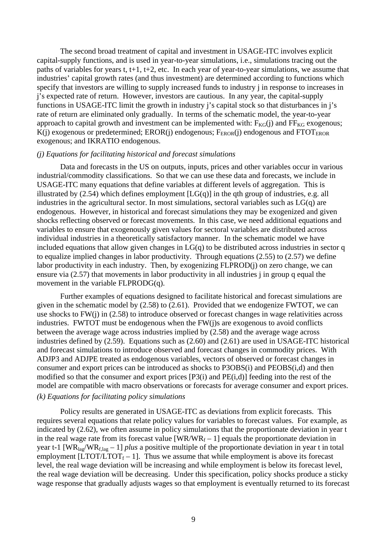The second broad treatment of capital and investment in USAGE-ITC involves explicit capital-supply functions, and is used in year-to-year simulations, i.e., simulations tracing out the paths of variables for years t, t+1, t+2, etc. In each year of year-to-year simulations, we assume that industries' capital growth rates (and thus investment) are determined according to functions which specify that investors are willing to supply increased funds to industry j in response to increases in j's expected rate of return. However, investors are cautious. In any year, the capital-supply functions in USAGE-ITC limit the growth in industry j's capital stock so that disturbances in j's rate of return are eliminated only gradually. In terms of the schematic model, the year-to-year approach to capital growth and investment can be implemented with:  $F_{KG}(i)$  and  $FF_{KG}$  exogenous;  $K(i)$  exogenous or predetermined; EROR(j) endogenous;  $F_{EROR}(i)$  endogenous and FTOT<sub>EROR</sub> exogenous; and IKRATIO endogenous.

#### *(j) Equations for facilitating historical and forecast simulations*

Data and forecasts in the US on outputs, inputs, prices and other variables occur in various industrial/commodity classifications. So that we can use these data and forecasts, we include in USAGE-ITC many equations that define variables at different levels of aggregation. This is illustrated by  $(2.54)$  which defines employment  $[LG(q)]$  in the qth group of industries, e.g. all industries in the agricultural sector. In most simulations, sectoral variables such as LG(q) are endogenous. However, in historical and forecast simulations they may be exogenized and given shocks reflecting observed or forecast movements. In this case, we need additional equations and variables to ensure that exogenously given values for sectoral variables are distributed across individual industries in a theoretically satisfactory manner. In the schematic model we have included equations that allow given changes in  $LG(q)$  to be distributed across industries in sector q to equalize implied changes in labor productivity. Through equations (2.55) to (2.57) we define labor productivity in each industry. Then, by exogenizing FLPROD(j) on zero change, we can ensure via (2.57) that movements in labor productivity in all industries j in group q equal the movement in the variable FLPRODG(q).

 Further examples of equations designed to facilitate historical and forecast simulations are given in the schematic model by (2.58) to (2.61). Provided that we endogenize FWTOT, we can use shocks to FW(j) in (2.58) to introduce observed or forecast changes in wage relativities across industries. FWTOT must be endogenous when the FW(j)s are exogenous to avoid conflicts between the average wage across industries implied by (2.58) and the average wage across industries defined by (2.59). Equations such as (2.60) and (2.61) are used in USAGE-ITC historical and forecast simulations to introduce observed and forecast changes in commodity prices. With ADJP3 and ADJPE treated as endogenous variables, vectors of observed or forecast changes in consumer and export prices can be introduced as shocks to P3OBS(i) and PEOBS(i,d) and then modified so that the consumer and export prices [P3(i) and PE(i,d)] feeding into the rest of the model are compatible with macro observations or forecasts for average consumer and export prices.

### *(k) Equations for facilitating policy simulations*

Policy results are generated in USAGE-ITC as deviations from explicit forecasts. This requires several equations that relate policy values for variables to forecast values. For example, as indicated by (2.62), we often assume in policy simulations that the proportionate deviation in year t in the real wage rate from its forecast value  $[WR/WR_f - 1]$  equals the proportionate deviation in year t-1 [WRlag/WRf,lag – 1] *plus* a positive multiple of the proportionate deviation in year t in total employment  $[LTOT/LTOT_f - 1]$ . Thus we assume that while employment is above its forecast level, the real wage deviation will be increasing and while employment is below its forecast level, the real wage deviation will be decreasing. Under this specification, policy shocks produce a sticky wage response that gradually adjusts wages so that employment is eventually returned to its forecast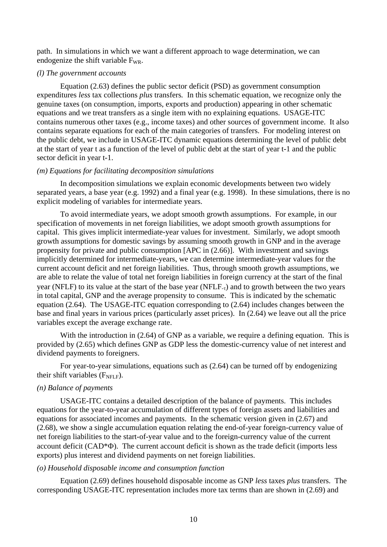path. In simulations in which we want a different approach to wage determination, we can endogenize the shift variable  $F_{WR}$ .

#### *(l) The government accounts*

Equation (2.63) defines the public sector deficit (PSD) as government consumption expenditures *less* tax collections *plus* transfers*.* In this schematic equation, we recognize only the genuine taxes (on consumption, imports, exports and production) appearing in other schematic equations and we treat transfers as a single item with no explaining equations. USAGE-ITC contains numerous other taxes (e.g., income taxes) and other sources of government income. It also contains separate equations for each of the main categories of transfers. For modeling interest on the public debt, we include in USAGE-ITC dynamic equations determining the level of public debt at the start of year t as a function of the level of public debt at the start of year t-1 and the public sector deficit in year t-1.

#### *(m) Equations for facilitating decomposition simulations*

In decomposition simulations we explain economic developments between two widely separated years, a base year (e.g. 1992) and a final year (e.g. 1998). In these simulations, there is no explicit modeling of variables for intermediate years.

 To avoid intermediate years, we adopt smooth growth assumptions. For example, in our specification of movements in net foreign liabilities, we adopt smooth growth assumptions for capital. This gives implicit intermediate-year values for investment. Similarly, we adopt smooth growth assumptions for domestic savings by assuming smooth growth in GNP and in the average propensity for private and public consumption [APC in (2.66)]. With investment and savings implicitly determined for intermediate-years, we can determine intermediate-year values for the current account deficit and net foreign liabilities. Thus, through smooth growth assumptions, we are able to relate the value of total net foreign liabilities in foreign currency at the start of the final year (NFLF) to its value at the start of the base year (NFLF<sub>-τ</sub>) and to growth between the two years in total capital, GNP and the average propensity to consume. This is indicated by the schematic equation (2.64). The USAGE-ITC equation corresponding to (2.64) includes changes between the base and final years in various prices (particularly asset prices). In (2.64) we leave out all the price variables except the average exchange rate.

With the introduction in (2.64) of GNP as a variable, we require a defining equation. This is provided by (2.65) which defines GNP as GDP less the domestic-currency value of net interest and dividend payments to foreigners.

 For year-to-year simulations, equations such as (2.64) can be turned off by endogenizing their shift variables  $(F<sub>NELE</sub>)$ .

#### *(n) Balance of payments*

USAGE-ITC contains a detailed description of the balance of payments. This includes equations for the year-to-year accumulation of different types of foreign assets and liabilities and equations for associated incomes and payments. In the schematic version given in (2.67) and (2.68), we show a single accumulation equation relating the end-of-year foreign-currency value of net foreign liabilities to the start-of-year value and to the foreign-currency value of the current account deficit (CAD\*Φ). The current account deficit is shown as the trade deficit (imports less exports) plus interest and dividend payments on net foreign liabilities.

#### *(o) Household disposable income and consumption function*

Equation (2.69) defines household disposable income as GNP *less* taxes *plus* transfers. The corresponding USAGE-ITC representation includes more tax terms than are shown in (2.69) and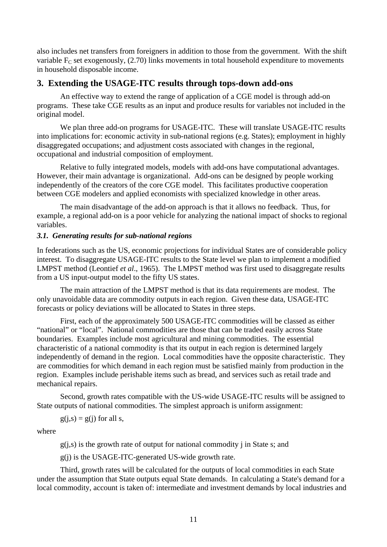also includes net transfers from foreigners in addition to those from the government. With the shift variable  $F_C$  set exogenously, (2.70) links movements in total household expenditure to movements in household disposable income.

## **3. Extending the USAGE-ITC results through tops-down add-ons**

An effective way to extend the range of application of a CGE model is through add-on programs. These take CGE results as an input and produce results for variables not included in the original model.

 We plan three add-on programs for USAGE-ITC. These will translate USAGE-ITC results into implications for: economic activity in sub-national regions (e.g. States); employment in highly disaggregated occupations; and adjustment costs associated with changes in the regional, occupational and industrial composition of employment.

 Relative to fully integrated models, models with add-ons have computational advantages. However, their main advantage is organizational. Add-ons can be designed by people working independently of the creators of the core CGE model. This facilitates productive cooperation between CGE modelers and applied economists with specialized knowledge in other areas.

 The main disadvantage of the add-on approach is that it allows no feedback. Thus, for example, a regional add-on is a poor vehicle for analyzing the national impact of shocks to regional variables.

#### *3.1. Generating results for sub-national regions*

In federations such as the US, economic projections for individual States are of considerable policy interest. To disaggregate USAGE-ITC results to the State level we plan to implement a modified LMPST method (Leontief *et al*., 1965). The LMPST method was first used to disaggregate results from a US input-output model to the fifty US states.

 The main attraction of the LMPST method is that its data requirements are modest. The only unavoidable data are commodity outputs in each region. Given these data, USAGE-ITC forecasts or policy deviations will be allocated to States in three steps.

 First, each of the approximately 500 USAGE-ITC commodities will be classed as either "national" or "local". National commodities are those that can be traded easily across State boundaries. Examples include most agricultural and mining commodities. The essential characteristic of a national commodity is that its output in each region is determined largely independently of demand in the region. Local commodities have the opposite characteristic. They are commodities for which demand in each region must be satisfied mainly from production in the region. Examples include perishable items such as bread, and services such as retail trade and mechanical repairs.

 Second, growth rates compatible with the US-wide USAGE-ITC results will be assigned to State outputs of national commodities. The simplest approach is uniform assignment:

$$
g(j,s) = g(j)
$$
 for all s,

where

 $g(i,s)$  is the growth rate of output for national commodity j in State s; and

g(j) is the USAGE-ITC-generated US-wide growth rate.

 Third, growth rates will be calculated for the outputs of local commodities in each State under the assumption that State outputs equal State demands. In calculating a State's demand for a local commodity, account is taken of: intermediate and investment demands by local industries and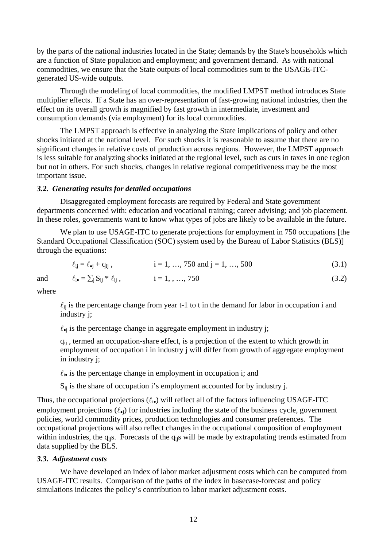by the parts of the national industries located in the State; demands by the State's households which are a function of State population and employment; and government demand. As with national commodities, we ensure that the State outputs of local commodities sum to the USAGE-ITCgenerated US-wide outputs.

 Through the modeling of local commodities, the modified LMPST method introduces State multiplier effects. If a State has an over-representation of fast-growing national industries, then the effect on its overall growth is magnified by fast growth in intermediate, investment and consumption demands (via employment) for its local commodities.

 The LMPST approach is effective in analyzing the State implications of policy and other shocks initiated at the national level. For such shocks it is reasonable to assume that there are no significant changes in relative costs of production across regions. However, the LMPST approach is less suitable for analyzing shocks initiated at the regional level, such as cuts in taxes in one region but not in others. For such shocks, changes in relative regional competitiveness may be the most important issue.

### *3.2. Generating results for detailed occupations*

Disaggregated employment forecasts are required by Federal and State government departments concerned with: education and vocational training; career advising; and job placement. In these roles, governments want to know what types of jobs are likely to be available in the future.

We plan to use USAGE-ITC to generate projections for employment in 750 occupations [the Standard Occupational Classification (SOC) system used by the Bureau of Labor Statistics (BLS)] through the equations:

and  $\ell_{i\bullet} = \sum_{i} S_{ii} * \ell_{ii}$ ,  $i = 1, ..., 750$  (3.2)

$$
\ell_{ij} = \ell_{\bullet j} + q_{ij}, \qquad i = 1, ..., 750 \text{ and } j = 1, ..., 500 \qquad (3.1)
$$

where

 $\ell_{ij}$  is the percentage change from year t-1 to t in the demand for labor in occupation i and industry j;

 $\ell_{\bullet i}$  is the percentage change in aggregate employment in industry j;

 $q_{ij}$ , termed an occupation-share effect, is a projection of the extent to which growth in employment of occupation i in industry j will differ from growth of aggregate employment in industry j;

 $\ell_{i\bullet}$  is the percentage change in employment in occupation i; and

 $S_{ii}$  is the share of occupation i's employment accounted for by industry j.

Thus, the occupational projections  $(\ell_{i\bullet})$  will reflect all of the factors influencing USAGE-ITC employment projections  $(\ell_{\bullet i})$  for industries including the state of the business cycle, government policies, world commodity prices, production technologies and consumer preferences. The occupational projections will also reflect changes in the occupational composition of employment within industries, the  $q_{ii}$ s. Forecasts of the  $q_{ii}$ s will be made by extrapolating trends estimated from data supplied by the BLS.

#### *3.3. Adjustment costs*

 We have developed an index of labor market adjustment costs which can be computed from USAGE-ITC results. Comparison of the paths of the index in basecase-forecast and policy simulations indicates the policy's contribution to labor market adjustment costs.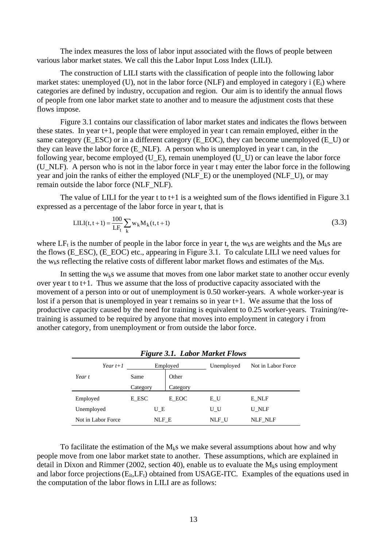The index measures the loss of labor input associated with the flows of people between various labor market states. We call this the Labor Input Loss Index (LILI).

 The construction of LILI starts with the classification of people into the following labor market states: unemployed (U), not in the labor force (NLF) and employed in category i  $(E_i)$  where categories are defined by industry, occupation and region. Our aim is to identify the annual flows of people from one labor market state to another and to measure the adjustment costs that these flows impose.

 Figure 3.1 contains our classification of labor market states and indicates the flows between these states. In year t+1, people that were employed in year t can remain employed, either in the same category (E\_ESC) or in a different category (E\_EOC), they can become unemployed (E\_U) or they can leave the labor force (E\_NLF). A person who is unemployed in year t can, in the following year, become employed (U\_E), remain unemployed (U\_U) or can leave the labor force (U\_NLF). A person who is not in the labor force in year t may enter the labor force in the following year and join the ranks of either the employed (NLF\_E) or the unemployed (NLF\_U), or may remain outside the labor force (NLF\_NLF).

The value of LILI for the year t to  $t+1$  is a weighted sum of the flows identified in Figure 3.1 expressed as a percentage of the labor force in year t, that is

$$
LILI(t, t+1) = \frac{100}{LF_t} \sum_{k} w_k M_k(t, t+1)
$$
\n(3.3)

where LF<sub>t</sub> is the number of people in the labor force in year t, the w<sub>k</sub>s are weights and the M<sub>k</sub>s are the flows (E\_ESC), (E\_EOC) etc., appearing in Figure 3.1. To calculate LILI we need values for the w<sub>k</sub>s reflecting the relative costs of different labor market flows and estimates of the  $M_k$ s.

In setting the  $w_k s$  we assume that moves from one labor market state to another occur evenly over year t to t+1. Thus we assume that the loss of productive capacity associated with the movement of a person into or out of unemployment is 0.50 worker-years. A whole worker-year is lost if a person that is unemployed in year t remains so in year t+1. We assume that the loss of productive capacity caused by the need for training is equivalent to 0.25 worker-years. Training/retraining is assumed to be required by anyone that moves into employment in category i from another category, from unemployment or from outside the labor force.

|                             |          |          | Tugure 3.1. Labor market Flows |                    |
|-----------------------------|----------|----------|--------------------------------|--------------------|
| Year $t+1$                  |          | Employed | Unemployed                     | Not in Labor Force |
| Year t                      | Same     | Other    |                                |                    |
|                             | Category | Category |                                |                    |
| Employed                    | E ESC    | E EOC    | ΕU                             | E NLF              |
| Unemployed<br>UΕ            |          |          | U U                            | U NLF              |
| Not in Labor Force<br>NLF E |          |          | NLF U                          | <b>NLF NLF</b>     |

## *Figure 3.1. Labor Market Flows*

To facilitate the estimation of the  $M_k$ s we make several assumptions about how and why people move from one labor market state to another. These assumptions, which are explained in detail in Dixon and Rimmer (2002, section 40), enable us to evaluate the  $M<sub>k</sub>$ s using employment and labor force projections (E<sub>it</sub>,LF<sub>t</sub>) obtained from USAGE-ITC. Examples of the equations used in the computation of the labor flows in LILI are as follows: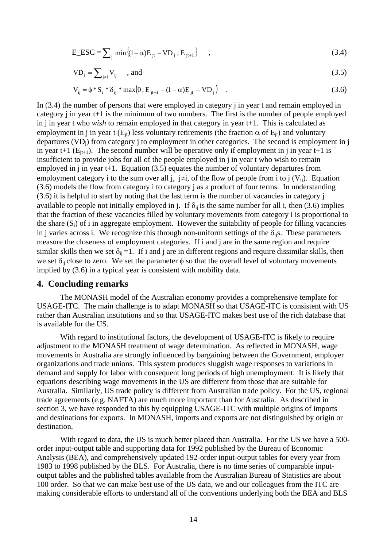$$
E\_ESC = \sum_{j} \min\left\{ (1 - \alpha) E_{jt} - V D_j ; E_{jt+1} \right\} , \qquad (3.4)
$$

$$
VD_i = \sum_{j \neq i} V_{ij} \qquad \text{and} \tag{3.5}
$$

$$
V_{ij} = \phi * S_i * \delta_{ij} * max(0; E_{j+1} - (1 - \alpha) E_{jt} + V D_j)
$$
 (3.6)

In (3.4) the number of persons that were employed in category j in year t and remain employed in category j in year t+1 is the minimum of two numbers. The first is the number of people employed in j in year t who *wish* to remain employed in that category in year t+1. This is calculated as employment in i in year t ( $E_{it}$ ) less voluntary retirements (the fraction  $\alpha$  of  $E_{it}$ ) and voluntary departures  $(VD_i)$  from category i to employment in other categories. The second is employment in j in year t+1 ( $E_{it+1}$ ). The second number will be operative only if employment in j in year t+1 is insufficient to provide jobs for all of the people employed in j in year t who wish to remain employed in j in year  $t+1$ . Equation (3.5) equates the number of voluntary departures from employment category i to the sum over all j, j≠i, of the flow of people from i to j  $(V_{ii})$ . Equation (3.6) models the flow from category i to category j as a product of four terms. In understanding (3.6) it is helpful to start by noting that the last term is the number of vacancies in category j available to people not initially employed in j. If  $\delta_{ii}$  is the same number for all i, then (3.6) implies that the fraction of these vacancies filled by voluntary movements from category i is proportional to the share  $(S_i)$  of i in aggregate employment. However the suitability of people for filling vacancies in j varies across i. We recognize this through non-uniform settings of the  $\delta_{ii}$ s. These parameters measure the closeness of employment categories. If i and j are in the same region and require similar skills then we set  $\delta_{ij} = 1$ . If i and j are in different regions and require dissimilar skills, then we set  $\delta_{ij}$  close to zero. We set the parameter  $\phi$  so that the overall level of voluntary movements implied by (3.6) in a typical year is consistent with mobility data.

## **4. Concluding remarks**

 The MONASH model of the Australian economy provides a comprehensive template for USAGE-ITC. The main challenge is to adapt MONASH so that USAGE-ITC is consistent with US rather than Australian institutions and so that USAGE-ITC makes best use of the rich database that is available for the US.

With regard to institutional factors, the development of USAGE-ITC is likely to require adjustment to the MONASH treatment of wage determination. As reflected in MONASH, wage movements in Australia are strongly influenced by bargaining between the Government, employer organizations and trade unions. This system produces sluggish wage responses to variations in demand and supply for labor with consequent long periods of high unemployment. It is likely that equations describing wage movements in the US are different from those that are suitable for Australia. Similarly, US trade policy is different from Australian trade policy. For the US, regional trade agreements (e.g. NAFTA) are much more important than for Australia. As described in section 3, we have responded to this by equipping USAGE-ITC with multiple origins of imports and destinations for exports. In MONASH, imports and exports are not distinguished by origin or destination.

With regard to data, the US is much better placed than Australia. For the US we have a 500order input-output table and supporting data for 1992 published by the Bureau of Economic Analysis (BEA), and comprehensively updated 192-order input-output tables for every year from 1983 to 1998 published by the BLS. For Australia, there is no time series of comparable inputoutput tables and the published tables available from the Australian Bureau of Statistics are about 100 order. So that we can make best use of the US data, we and our colleagues from the ITC are making considerable efforts to understand all of the conventions underlying both the BEA and BLS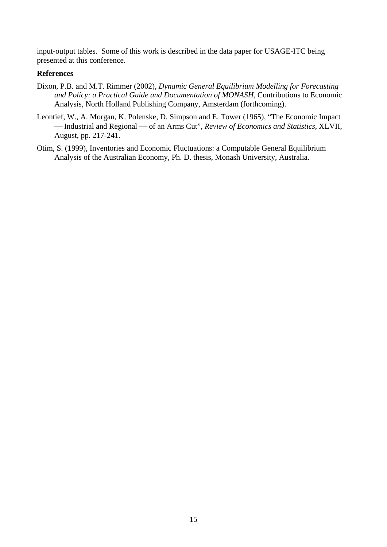input-output tables. Some of this work is described in the data paper for USAGE-ITC being presented at this conference.

## **References**

- Dixon, P.B. and M.T. Rimmer (2002), *Dynamic General Equilibrium Modelling for Forecasting*  and Policy: a Practical Guide and Documentation of MONASH, Contributions to Economic Analysis, North Holland Publishing Company, Amsterdam (forthcoming).
- Leontief, W., A. Morgan, K. Polenske, D. Simpson and E. Tower (1965), "The Economic Impact -Industrial and Regional - of an Arms Cut", *Review of Economics and Statistics*, XLVII, August, pp. 217-241.
- Otim, S. (1999), Inventories and Economic Fluctuations: a Computable General Equilibrium Analysis of the Australian Economy, Ph. D. thesis, Monash University, Australia.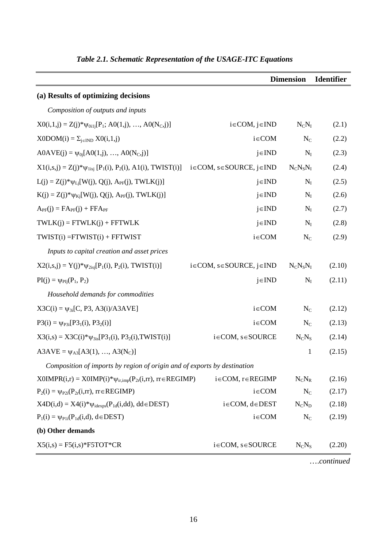|                                                                          |                                      | <b>Dimension</b> | <b>Identifier</b> |
|--------------------------------------------------------------------------|--------------------------------------|------------------|-------------------|
| (a) Results of optimizing decisions                                      |                                      |                  |                   |
| Composition of outputs and inputs                                        |                                      |                  |                   |
| $X0(i,1,j) = Z(j)*\psi_{0i1j}[P_1; A0(1,j), , A0(N_c,j)]$                | $i \in COM, j \in IND$               | $N_C N_I$        | (2.1)             |
| $X0DOM(i) = \sum_{j\in IND} X0(i,1,j)$                                   | $i \in COM$                          | $N_C$            | (2.2)             |
| $AOAVE(j) = \psi_{0j}[AO(1,j), , AO(NC,j)]$                              | $j \in IND$                          | $N_I$            | (2.3)             |
| $X1(i,s,j) = Z(j)*\psi_{1isj} [P_1(i), P_2(i), A1(i), TWIST(i)]$         | $i \in COM, s \in SOLRCE, j \in IND$ | $N_C N_S N_I$    | (2.4)             |
| $L(j) = Z(j) * \psi_{Lj}[W(j), Q(j), A_{PF}(j), TWLK(j)]$                | $j \in IND$                          | $N_I$            | (2.5)             |
| $K(j) = Z(j) * \psi_{Kj}[W(j), Q(j), A_{PF}(j), TWLK(j)]$                | $j \in IND$                          | $N_I$            | (2.6)             |
| $A_{PF}(j) = FA_{PF}(j) + FFA_{PF}$                                      | $j \in IND$                          | $N_I$            | (2.7)             |
| $TWLK(j) = FTWLK(j) + FFTWLK$                                            | $j \in IND$                          | $N_I$            | (2.8)             |
| $TWIST(i) = FTWIST(i) + FFTWIST$                                         | $i \in COM$                          | $N_C$            | (2.9)             |
| Inputs to capital creation and asset prices                              |                                      |                  |                   |
| $X2(i,s,j) = Y(j)*\psi_{2isi}[P_1(i), P_2(i), TWIST(i)]$                 | $i \in COM, s \in SOLRCE, j \in IND$ | $N_C N_S N_I$    | (2.10)            |
| $PI(j) = \psi_{PIj}(P_1, P_2)$                                           | $j \in IND$                          | $N_I$            | (2.11)            |
| Household demands for commodities                                        |                                      |                  |                   |
| $X3C(i) = \psi_{3i}[C, P3, A3(i)/A3AVE]$                                 | $i \in COM$                          | $N_C$            | (2.12)            |
| $P3(i) = \psi_{P3i}[P3_1(i), P3_2(i)]$                                   | $i \in COM$                          | $N_{C}$          | (2.13)            |
| $X3(i,s) = X3C(i)*\psi_{3is}[P3_1(i), P3_2(i), TWIST(i)]$                | $i \in COM, s \in SOLRCE$            | $N_C N_S$        | (2.14)            |
| $A3AVE = \psi_{A3}[A3(1), , A3(N_C)]$                                    |                                      | $\mathbf{1}$     | (2.15)            |
| Composition of imports by region of origin and of exports by destination |                                      |                  |                   |
| $X0IMPR(i,r) = X0IMP(i)*\psi_{ir,imp}(P_{2r}(i,rr), r \in REGIMP)$       | $i \in COM, r \in REGIMP$            | $N_C N_R$        | (2.16)            |
| $P_2(i) = \psi_{P2i}(P_{2r}(i,rr), r \in REGIMP)$                        | $i \in COM$                          | $N_C$            | (2.17)            |
| $X4D(i,d) = X4(i)*\psi_{idexps}(P_{1d}(i,dd), dd \in DEST)$              | $i \in COM, d \in DEST$              | $N_C N_D$        | (2.18)            |
| $P_1(i) = \psi_{P1i}(P_{1d}(i,d), d \in DEST)$                           | $i \in COM$                          | $N_C$            | (2.19)            |
| (b) Other demands                                                        |                                      |                  |                   |
| $X5(i,s) = F5(i,s)*F5TOT*CR$                                             | $i \in COM, s \in SOLRCE$            | $N_C N_S$        | (2.20)            |

## *Table 2.1. Schematic Representation of the USAGE-ITC Equations*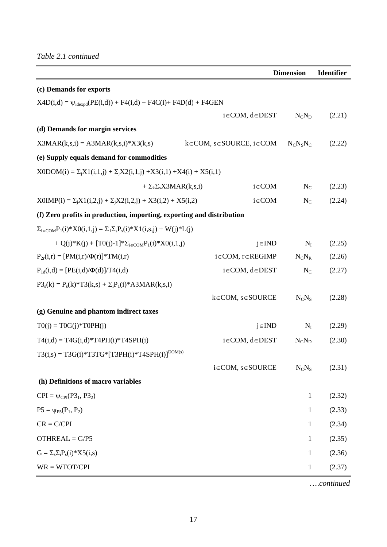|                                                                                              |                                      | <b>Dimension</b> | <b>Identifier</b> |
|----------------------------------------------------------------------------------------------|--------------------------------------|------------------|-------------------|
| (c) Demands for exports                                                                      |                                      |                  |                   |
| $X4D(i,d) = \psi_{idexod}(PE(i,d)) + F4(i,d) + F4C(i) + F4D(d) + F4GEN$                      |                                      |                  |                   |
|                                                                                              | $i \in COM, d \in DEST$              | $N_C N_D$        | (2.21)            |
| (d) Demands for margin services                                                              |                                      |                  |                   |
| $X3MAR(k,s,i) = A3MAR(k,s,i)*X3(k,s)$                                                        | $k \in COM, s \in SOLRCE, i \in COM$ | $N_C N_S N_C$    | (2.22)            |
| (e) Supply equals demand for commodities                                                     |                                      |                  |                   |
| $X0DOM(i) = \sum_i X1(i,1,j) + \sum_i X2(i,1,j) + X3(i,1) + X4(i) + X5(i,1)$                 |                                      |                  |                   |
| + $\Sigma_k \Sigma_s$ X3MAR(k,s,i)                                                           | $i \in COM$                          | $N_C$            | (2.23)            |
| $X0IMP(i) = \sum_i X1(i,2,j) + \sum_i X2(i,2,j) + X3(i,2) + X5(i,2)$                         | $i \in COM$                          | $N_{C}$          | (2.24)            |
| (f) Zero profits in production, importing, exporting and distribution                        |                                      |                  |                   |
| $\Sigma_{i \in COM} P_1(i) * X0(i,1,j) = \Sigma_i \Sigma_s P_s(i) * X1(i,s,j) + W(j) * L(j)$ |                                      |                  |                   |
| + Q(j)*K(j) + [T0(j)-1]* $\Sigma_{i\in COM}P_1(i)*X0(i,1,i)$                                 | $j \in IND$                          | $N_I$            | (2.25)            |
| $P_{2r}(i,r) = [PM(i,r)/\Phi(r)]^*TM(i,r)$                                                   | $i \in COM, r \in REGIMP$            | $N_C N_R$        | (2.26)            |
| $P_{1d}(i,d) = [PE(i,d)/\Phi(d)]/T4(i,d)$                                                    | $i \in COM, d \in DEST$              | $N_{C}$          | (2.27)            |
| $P3_s(k) = P_s(k)*T3(k,s) + \sum_i P_i(i)*A3MAR(k,s,i)$                                      |                                      |                  |                   |
|                                                                                              | $k \in COM, s \in SOLRCE$            | $N_C N_S$        | (2.28)            |
| (g) Genuine and phantom indirect taxes                                                       |                                      |                  |                   |
| $TO(j) = TOG(j)*TOPH(j)$                                                                     | $j \in IND$                          | $N_I$            | (2.29)            |
| $T4(i,d) = T4G(i,d)*T4PH(i)*T4SPH(i)$                                                        | $i \in COM, d \in DEST$              | $N_C N_D$        | (2.30)            |
| $T3(i,s) = T3G(i)*T3TG*[T3PH(i)*T4SPH(i)]^{DOM(s)}$                                          |                                      |                  |                   |
|                                                                                              | $i \in COM, s \in SOLRCE$            | $N_C N_S$        | (2.31)            |
| (h) Definitions of macro variables                                                           |                                      |                  |                   |
| $CPI = \psi_{CPI}(P3_1, P3_2)$                                                               |                                      | $\mathbf{1}$     | (2.32)            |
| $P5 = \psi_{P5}(P_1, P_2)$                                                                   |                                      | 1                | (2.33)            |
| $CR = C/CPI$                                                                                 |                                      | 1                | (2.34)            |
| $OTHREAL = G/P5$                                                                             |                                      | $\mathbf{1}$     | (2.35)            |
| $G = \sum_{s} \sum_{i} P_{s}(i) * X5(i,s)$                                                   |                                      | 1                | (2.36)            |
| $WR = WTOT/CPI$                                                                              |                                      | $\mathbf{1}$     | (2.37)            |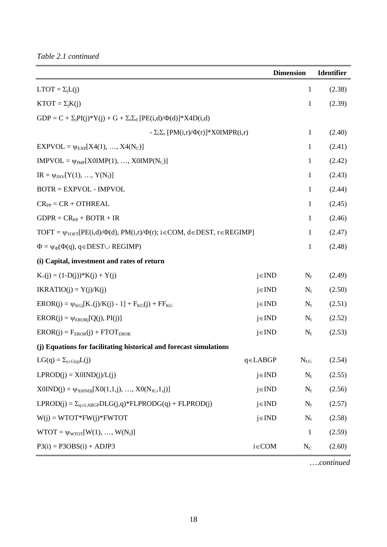*Table 2.1 continued* 

|                                                                                                    |               | <b>Dimension</b> | <b>Identifier</b> |
|----------------------------------------------------------------------------------------------------|---------------|------------------|-------------------|
| $LTOT = \Sigma_i L(j)$                                                                             |               | $\mathbf{1}$     | (2.38)            |
| $KTOT = \Sigma_i K(j)$                                                                             |               | $\mathbf{1}$     | (2.39)            |
| $GDP = C + \Sigma_i PI(j)*Y(j) + G + \Sigma_i\Sigma_d [PE(i,d)/\Phi(d)]*X4D(i,d)$                  |               |                  |                   |
| - $\Sigma_i \Sigma_r$ [PM(i,r)/ $\Phi(r)$ ]*X0IMPR(i,r)                                            |               | $\mathbf{1}$     | (2.40)            |
| $EXPVOL = \psi_{EXP}[X4(1), , X4(N_C)]$                                                            |               | 1                | (2.41)            |
| $IMPVOL = \psi_{IMP}[XOIMP(1), , XOIMP(NC)]$                                                       |               | $\mathbf{1}$     | (2.42)            |
| $IR = \psi_{INV}[Y(1), , Y(N_I)]$                                                                  |               | $\mathbf{1}$     | (2.43)            |
| $BOTR = EXPVOL - IMPVOL$                                                                           |               | $\mathbf{1}$     | (2.44)            |
| $CR_{PP} = CR + OTHREAL$                                                                           |               | 1                | (2.45)            |
| $GDPR = CR_{PP} + BOTR + IR$                                                                       |               | 1                | (2.46)            |
| TOFT = $\psi_{\text{TOFT}}[PE(i,d)/\Phi(d), PM(i,r)/\Phi(r); i \in COM, d \in DEST, r \in REGIMP]$ |               | 1                | (2.47)            |
| $\Phi = \psi_{\Phi}(\Phi(q), q \in \text{DEST} \cup \text{REGIMP})$                                |               | $\mathbf{1}$     | (2.48)            |
| (i) Capital, investment and rates of return                                                        |               |                  |                   |
| $K_{+}(j) = (1-D(j)) * K(j) + Y(j)$                                                                | $j \in IND$   | $N_I$            | (2.49)            |
| $IKRATIO(j) = Y(j)/K(j)$                                                                           | $j \in IND$   | $N_I$            | (2.50)            |
| $EROR(j) = \psi_{KGi}[K_{+}(j)/K(j) - 1] + F_{KG}(j) + FF_{KG}$                                    | $j \in IND$   | $N_I$            | (2.51)            |
| $EROR(j) = \psi_{ERORj}[Q(j), PI(j)]$                                                              | $j \in IND$   | $N_I$            | (2.52)            |
| $EROR(j) = F_{EROR}(j) + FTOT_{EROR}$                                                              | $j \in IND$   | $N_I$            | (2.53)            |
| (j) Equations for facilitating historical and forecast simulations                                 |               |                  |                   |
| $LG(q) = \sum_{j \in G(q)} L(j)$                                                                   | $q \in LABGP$ | $\rm N_{LG}$     | (2.54)            |
| $LPROD(j) = X0IND(j)/L(j)$                                                                         | $j \in IND$   | $N_I$            | (2.55)            |
| $X0IND(j) = \psi_{X0INDj}[X0(1,1,j), , X0(N_{JC},1,j)]$                                            | $j \in IND$   | $N_I$            | (2.56)            |
| $LPROD(j) = \sum_{q \in LABGP} DLG(j,q) * FLPRODG(q) + FLPROD(j)$                                  | $j \in IND$   | $N_I$            | (2.57)            |
| $W(j) = WTOT*FW(j)*FWTOT$                                                                          | $j \in IND$   | $N_I$            | (2.58)            |
| $WTOT = \psi_{WTOT}[W(1), , W(N_I)]$                                                               |               | 1                | (2.59)            |
| $P3(i) = P3OBS(i) + ADJP3$                                                                         | $i \in COM$   | $N_C$            | (2.60)            |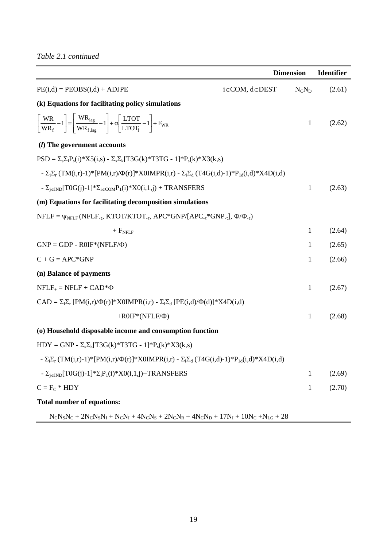|                                                                                                                                                                                                                                  |                         | <b>Dimension</b> | <b>Identifier</b> |
|----------------------------------------------------------------------------------------------------------------------------------------------------------------------------------------------------------------------------------|-------------------------|------------------|-------------------|
| $PE(i,d) = PEOBS(i,d) + ADJPE$                                                                                                                                                                                                   | $i \in COM, d \in DEST$ | $N_C N_D$        | (2.61)            |
| (k) Equations for facilitating policy simulations                                                                                                                                                                                |                         |                  |                   |
| $\left[\frac{\text{WR}}{\text{WR}_{\text{f}}} - 1\right] = \left[\frac{\text{WR}_{\text{lag}}}{\text{WR}_{\text{f,lag}}} - 1\right] + \alpha \left[\frac{\text{LTOT}}{\text{LTOT}_{\text{f}}} - 1\right] + \text{F}_{\text{WR}}$ |                         | $\mathbf{1}$     | (2.62)            |
| ( <i>l</i> ) The government accounts                                                                                                                                                                                             |                         |                  |                   |
| $PSD = \sum_{s} \sum_{i} P_{s}(i) * X5(i,s) - \sum_{s} \sum_{k} [T3G(k) * T3TG - 1] * P_{s}(k) * X3(k,s)$                                                                                                                        |                         |                  |                   |
| - $\Sigma_i \Sigma_r$ (TM(i,r)-1)* [PM(i,r)/ $\Phi(r)$ ]* X0IMPR(i,r) - $\Sigma_i \Sigma_d$ (T4G(i,d)-1)* $P_{1d}(i,d)$ * X4D(i,d)                                                                                               |                         |                  |                   |
| - $\Sigma_{i\in IND}[T0G(j)-1]^*\Sigma_{i\in COM}P_1(i)^*X0(i,1,j)$ + TRANSFERS                                                                                                                                                  |                         | $\mathbf{1}$     | (2.63)            |
| (m) Equations for facilitating decomposition simulations                                                                                                                                                                         |                         |                  |                   |
| NFLF = $\psi_{NFLF}$ (NFLF <sub>-τ</sub> , KTOT/KTOT <sub>-τ</sub> , APC*GNP/[APC <sub>-τ</sub> *GNP <sub>-τ</sub> ], $\Phi/\Phi_{-t}$ )                                                                                         |                         |                  |                   |
| $+ FNFLF$                                                                                                                                                                                                                        |                         | 1                | (2.64)            |
| $GNP = GDP - ROIF^*(NFLF/\Phi)$                                                                                                                                                                                                  |                         | 1                | (2.65)            |
| $C + G = APC*GNP$                                                                                                                                                                                                                |                         | 1                | (2.66)            |
| (n) Balance of payments                                                                                                                                                                                                          |                         |                  |                   |
| $NFLF_+ = NFLF + CAD^*\Phi$                                                                                                                                                                                                      |                         | $\mathbf{1}$     | (2.67)            |
| $CAD = \sum_i \sum_r [PM(i,r)/\Phi(r)]^*X0IMPR(i,r) - \sum_i \sum_d [PE(i,d)/\Phi(d)]^*X4D(i,d)$                                                                                                                                 |                         |                  |                   |
| $+ROIF^*(NFLF/\Phi)$                                                                                                                                                                                                             |                         | $\mathbf{1}$     | (2.68)            |
| (o) Household disposable income and consumption function                                                                                                                                                                         |                         |                  |                   |
| $HDY = GNP - \sum_{s} \sum_{k} [T3G(k)*T3TG - 1]*P_{s}(k)*X3(k,s)$                                                                                                                                                               |                         |                  |                   |
| - $\Sigma_i \Sigma_r$ (TM(i,r)-1)*[PM(i,r)/ $\Phi(r)$ ]*X0IMPR(i,r) - $\Sigma_i \Sigma_d$ (T4G(i,d)-1)*P <sub>1d</sub> (i,d)*X4D(i,d)                                                                                            |                         |                  |                   |
| - $\Sigma_{i\in IND}[T0G(j)-1]*\Sigma_iP_1(i)*X0(i,1,j)+TRANSFERS$                                                                                                                                                               |                         | 1                | (2.69)            |
| $C = F_C * HDY$                                                                                                                                                                                                                  |                         | $\mathbf{1}$     | (2.70)            |
| <b>Total number of equations:</b>                                                                                                                                                                                                |                         |                  |                   |
| $N_C N_S N_C + 2N_C N_S N_I + N_C N_I + 4N_C N_S + 2N_C N_R + 4N_C N_D + 17N_I + 10N_C + N_{LG} + 28$                                                                                                                            |                         |                  |                   |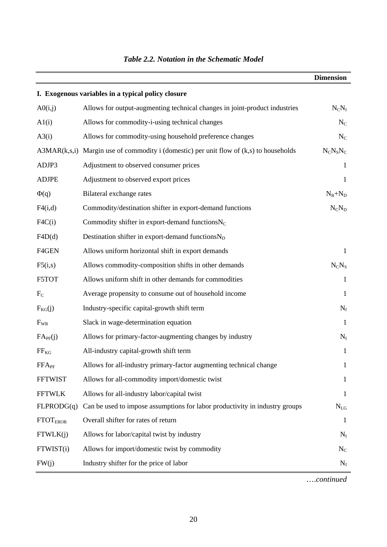|                            |                                                                              | <b>Dimension</b> |
|----------------------------|------------------------------------------------------------------------------|------------------|
|                            | I. Exogenous variables in a typical policy closure                           |                  |
| A0(i,j)                    | Allows for output-augmenting technical changes in joint-product industries   | $N_C N_I$        |
| A1(i)                      | Allows for commodity-i-using technical changes                               | $N_C$            |
| A3(i)                      | Allows for commodity-using household preference changes                      | $N_C$            |
| A3MAR(k,s,i)               | Margin use of commodity i (domestic) per unit flow of $(k, s)$ to households | $N_C N_S N_C$    |
| ADJP3                      | Adjustment to observed consumer prices                                       | 1                |
| <b>ADJPE</b>               | Adjustment to observed export prices                                         | $\mathbf 1$      |
| $\Phi(q)$                  | Bilateral exchange rates                                                     | $N_R + N_D$      |
| F4(i,d)                    | Commodity/destination shifter in export-demand functions                     | $N_C N_D$        |
| F4C(i)                     | Commodity shifter in export-demand functions $N_C$                           |                  |
| F4D(d)                     | Destination shifter in export-demand functionsN <sub>D</sub>                 |                  |
| F4GEN                      | Allows uniform horizontal shift in export demands                            | 1                |
| F5(i,s)                    | Allows commodity-composition shifts in other demands                         | $N_C N_S$        |
| F5TOT                      | Allows uniform shift in other demands for commodities                        | 1                |
| $F_{C}$                    | Average propensity to consume out of household income                        | 1                |
| $F_{KG}(j)$                | Industry-specific capital-growth shift term                                  | $N_I$            |
| $F_{WR}$                   | Slack in wage-determination equation                                         | -1               |
| FA <sub>PF</sub> (j)       | Allows for primary-factor-augmenting changes by industry                     | $N_I$            |
| $FF_{KG}$                  | All-industry capital-growth shift term                                       | $\mathbf{1}$     |
| $FFA_{PF}$                 | Allows for all-industry primary-factor augmenting technical change           | 1                |
| <b>FFTWIST</b>             | Allows for all-commodity import/domestic twist                               | 1                |
| <b>FFTWLK</b>              | Allows for all-industry labor/capital twist                                  | 1                |
| FLPRODG(q)                 | Can be used to impose assumptions for labor productivity in industry groups  | $N_{LG}$         |
| <b>FTOT<sub>EROR</sub></b> | Overall shifter for rates of return                                          | 1                |
| FTWLK(j)                   | Allows for labor/capital twist by industry                                   | $N_I$            |
| FTWIST(i)                  | Allows for import/domestic twist by commodity                                | $N_{C}$          |
| FW(j)                      | Industry shifter for the price of labor                                      | $N_I$            |

## *Table 2.2. Notation in the Schematic Model*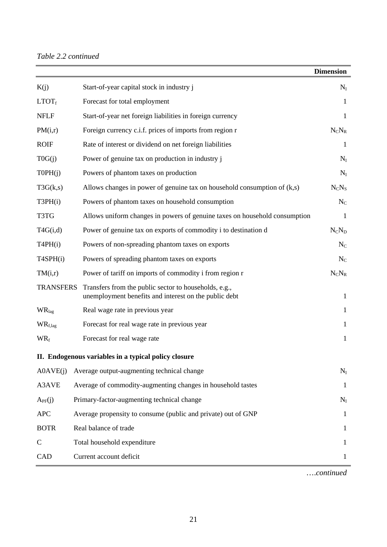## *Table 2.2 continued*

|                   |                                                                                                                | <b>Dimension</b> |
|-------------------|----------------------------------------------------------------------------------------------------------------|------------------|
| K(j)              | Start-of-year capital stock in industry j                                                                      | $N_I$            |
| LTOT <sub>f</sub> | Forecast for total employment                                                                                  | 1                |
| <b>NFLF</b>       | Start-of-year net foreign liabilities in foreign currency                                                      | 1                |
| PM(i,r)           | Foreign currency c.i.f. prices of imports from region r                                                        | $N_C N_R$        |
| <b>ROIF</b>       | Rate of interest or dividend on net foreign liabilities                                                        | 1                |
| T0G(j)            | Power of genuine tax on production in industry j                                                               | $N_I$            |
| TOPH(j)           | Powers of phantom taxes on production                                                                          | $N_I$            |
| T3G(k,s)          | Allows changes in power of genuine tax on household consumption of $(k,s)$                                     | $N_C N_S$        |
| T3PH(i)           | Powers of phantom taxes on household consumption                                                               | $N_{C}$          |
| T3TG              | Allows uniform changes in powers of genuine taxes on household consumption                                     | 1                |
| T4G(i,d)          | Power of genuine tax on exports of commodity i to destination d                                                | $N_C N_D$        |
| T4PH(i)           | Powers of non-spreading phantom taxes on exports                                                               | $N_C$            |
| T4SPH(i)          | Powers of spreading phantom taxes on exports                                                                   | $N_{C}$          |
| TM(i,r)           | Power of tariff on imports of commodity i from region r                                                        | $N_C N_R$        |
| <b>TRANSFERS</b>  | Transfers from the public sector to households, e.g.,<br>unemployment benefits and interest on the public debt | 1                |
| WR <sub>lag</sub> | Real wage rate in previous year                                                                                | 1                |
| $WR_{f,lag}$      | Forecast for real wage rate in previous year                                                                   | 1                |
| $WR_f$            | Forecast for real wage rate                                                                                    | 1                |
|                   | II. Endogenous variables in a typical policy closure                                                           |                  |
| AOAVE(i)          | Average output-augmenting technical change                                                                     | $N_I$            |
| A3AVE             | Average of commodity-augmenting changes in household tastes                                                    | 1                |
| $A_{PF}(j)$       | Primary-factor-augmenting technical change                                                                     | $N_I$            |
| <b>APC</b>        | Average propensity to consume (public and private) out of GNP                                                  | 1                |
| <b>BOTR</b>       | Real balance of trade                                                                                          | 1                |
| $\mathbf C$       | Total household expenditure                                                                                    | L                |
| CAD               | Current account deficit                                                                                        |                  |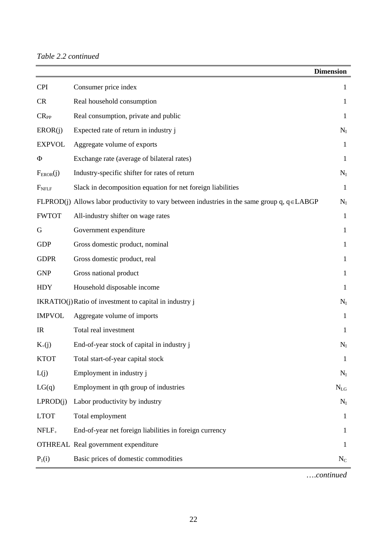|                   |                                                                                                   | <b>Dimension</b> |
|-------------------|---------------------------------------------------------------------------------------------------|------------------|
| <b>CPI</b>        | Consumer price index                                                                              | 1                |
| CR                | Real household consumption                                                                        | 1                |
| $CR_{PP}$         | Real consumption, private and public                                                              | 1                |
| EROR(j)           | Expected rate of return in industry j                                                             | $N_I$            |
| <b>EXPVOL</b>     | Aggregate volume of exports                                                                       | 1                |
| Φ                 | Exchange rate (average of bilateral rates)                                                        | 1                |
| $F_{EROR}(j)$     | Industry-specific shifter for rates of return                                                     | $N_I$            |
| F <sub>NFLF</sub> | Slack in decomposition equation for net foreign liabilities                                       | 1                |
|                   | FLPROD(j) Allows labor productivity to vary between industries in the same group q, $q \in LABGP$ | $N_I$            |
| <b>FWTOT</b>      | All-industry shifter on wage rates                                                                | $\mathbf{1}$     |
| G                 | Government expenditure                                                                            | $\mathbf 1$      |
| <b>GDP</b>        | Gross domestic product, nominal                                                                   | 1                |
| <b>GDPR</b>       | Gross domestic product, real                                                                      | 1                |
| <b>GNP</b>        | Gross national product                                                                            | 1                |
| <b>HDY</b>        | Household disposable income                                                                       | 1                |
|                   | IKRATIO(j) Ratio of investment to capital in industry j                                           | $N_I$            |
| <b>IMPVOL</b>     | Aggregate volume of imports                                                                       | 1                |
| <b>IR</b>         | Total real investment                                                                             | 1                |
| $K_{+}(j)$        | End-of-year stock of capital in industry j                                                        | $N_I$            |
| <b>KTOT</b>       | Total start-of-year capital stock                                                                 | $\mathbf{1}$     |
| L(j)              | Employment in industry j                                                                          | $N_I$            |
| LG(q)             | Employment in qth group of industries                                                             | $N_{LG}$         |
| LPROD(i)          | Labor productivity by industry                                                                    | $N_I$            |
| <b>LTOT</b>       | Total employment                                                                                  | 1                |
| $NFLF_+$          | End-of-year net foreign liabilities in foreign currency                                           | 1                |
|                   | <b>OTHREAL Real government expenditure</b>                                                        | 1                |
| $P_1(i)$          | Basic prices of domestic commodities                                                              | $N_{\rm C}$      |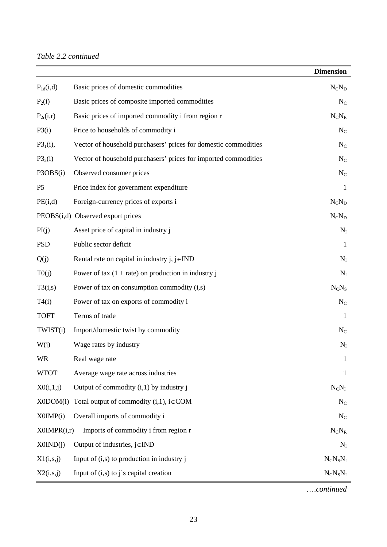|                |                                                                 | <b>Dimension</b> |
|----------------|-----------------------------------------------------------------|------------------|
| $P_{1d}(i,d)$  | Basic prices of domestic commodities                            | $N_C N_D$        |
| $P_2(i)$       | Basic prices of composite imported commodities                  | $N_{\rm C}$      |
| $P_{2r}(i,r)$  | Basic prices of imported commodity i from region r              | $N_C N_R$        |
| P3(i)          | Price to households of commodity i                              | $\rm N_C$        |
| $P3_1(i)$ ,    | Vector of household purchasers' prices for domestic commodities | $N_{C}$          |
| $P3_2(i)$      | Vector of household purchasers' prices for imported commodities | $N_C$            |
| P3OBS(i)       | Observed consumer prices                                        | $N_{C}$          |
| P <sub>5</sub> | Price index for government expenditure                          | $\mathbf{1}$     |
| PE(i,d)        | Foreign-currency prices of exports i                            | $N_C N_D$        |
|                | PEOBS(i,d) Observed export prices                               | $N_C N_D$        |
| PI(j)          | Asset price of capital in industry j                            | $N_I$            |
| <b>PSD</b>     | Public sector deficit                                           | 1                |
| Q(j)           | Rental rate on capital in industry $j, j \in IND$               | $N_I$            |
| T0(j)          | Power of tax $(1 + rate)$ on production in industry j           | $N_I$            |
| T3(i,s)        | Power of tax on consumption commodity $(i,s)$                   | $N_C N_S$        |
| T4(i)          | Power of tax on exports of commodity i                          | $N_C$            |
| <b>TOFT</b>    | Terms of trade                                                  | $\mathbf{1}$     |
| TWIST(i)       | Import/domestic twist by commodity                              | $N_{C}$          |
| W(j)           | Wage rates by industry                                          | $N_I$            |
| WR             | Real wage rate                                                  |                  |
| <b>WTOT</b>    | Average wage rate across industries                             | 1                |
| X0(i,1,j)      | Output of commodity $(i,1)$ by industry j                       | $N_C N_I$        |
| X0DOM(i)       | Total output of commodity $(i,1)$ , $i \in COM$                 | $N_{\rm C}$      |
| X0IMP(i)       | Overall imports of commodity i                                  | $N_C$            |
| X0IMPR(i,r)    | Imports of commodity i from region r                            | $N_C N_R$        |
| X0IND(j)       | Output of industries, $j \in IND$                               | $N_I$            |
| X1(i,s,j)      | Input of $(i,s)$ to production in industry j                    | $N_C N_S N_I$    |
| X2(i,s,j)      | Input of $(i,s)$ to j's capital creation                        | $N_C N_S N_I$    |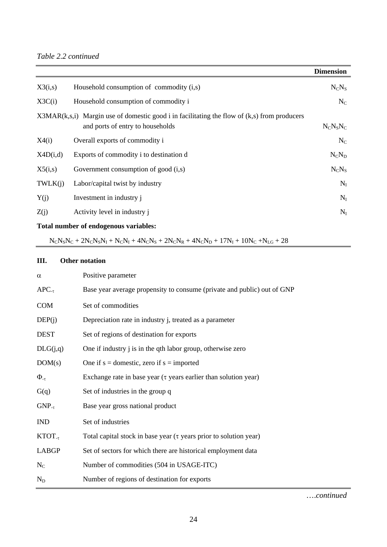|          |                                                                                                                                     | <b>Dimension</b> |
|----------|-------------------------------------------------------------------------------------------------------------------------------------|------------------|
| X3(i,s)  | Household consumption of commodity (i,s)                                                                                            | $N_C N_S$        |
| X3C(i)   | Household consumption of commodity i                                                                                                | $N_C$            |
|          | $X3MAR(k,s,i)$ Margin use of domestic good i in facilitating the flow of $(k,s)$ from producers<br>and ports of entry to households | $N_C N_S N_C$    |
| X4(i)    | Overall exports of commodity i                                                                                                      | $N_C$            |
| X4D(i,d) | Exports of commodity i to destination d                                                                                             | $N_C N_D$        |
| X5(i,s)  | Government consumption of good $(i,s)$                                                                                              | $N_C N_S$        |
| TWLK(j)  | Labor/capital twist by industry                                                                                                     | $N_I$            |
| Y(j)     | Investment in industry j                                                                                                            | $N_I$            |
| Z(j)     | Activity level in industry j                                                                                                        | $N_I$            |

## **Total number of endogenous variables:**

 $N_C N_S N_C + 2 N_C N_S N_I + N_C N_I + 4 N_C N_S + 2 N_C N_R + 4 N_C N_D + 17 N_I + 10 N_C + N_{LG} + 28$ 

## **III. Other notation**

| $\alpha$       | Positive parameter                                                      |
|----------------|-------------------------------------------------------------------------|
| $APC_{-\tau}$  | Base year average propensity to consume (private and public) out of GNP |
| <b>COM</b>     | Set of commodities                                                      |
| DEF(i)         | Depreciation rate in industry j, treated as a parameter                 |
| <b>DEST</b>    | Set of regions of destination for exports                               |
| DLG(j,q)       | One if industry j is in the qth labor group, otherwise zero             |
| DOM(s)         | One if $s =$ domestic, zero if $s =$ imported                           |
| $\Phi_{-\tau}$ | Exchange rate in base year $(\tau$ years earlier than solution year)    |
| G(q)           | Set of industries in the group q                                        |
| $GNP_{-\tau}$  | Base year gross national product                                        |
| <b>IND</b>     | Set of industries                                                       |
| $KTOT_{-\tau}$ | Total capital stock in base year $(\tau$ years prior to solution year)  |
| <b>LABGP</b>   | Set of sectors for which there are historical employment data           |
| $N_C$          | Number of commodities (504 in USAGE-ITC)                                |
| $N_D$          | Number of regions of destination for exports                            |